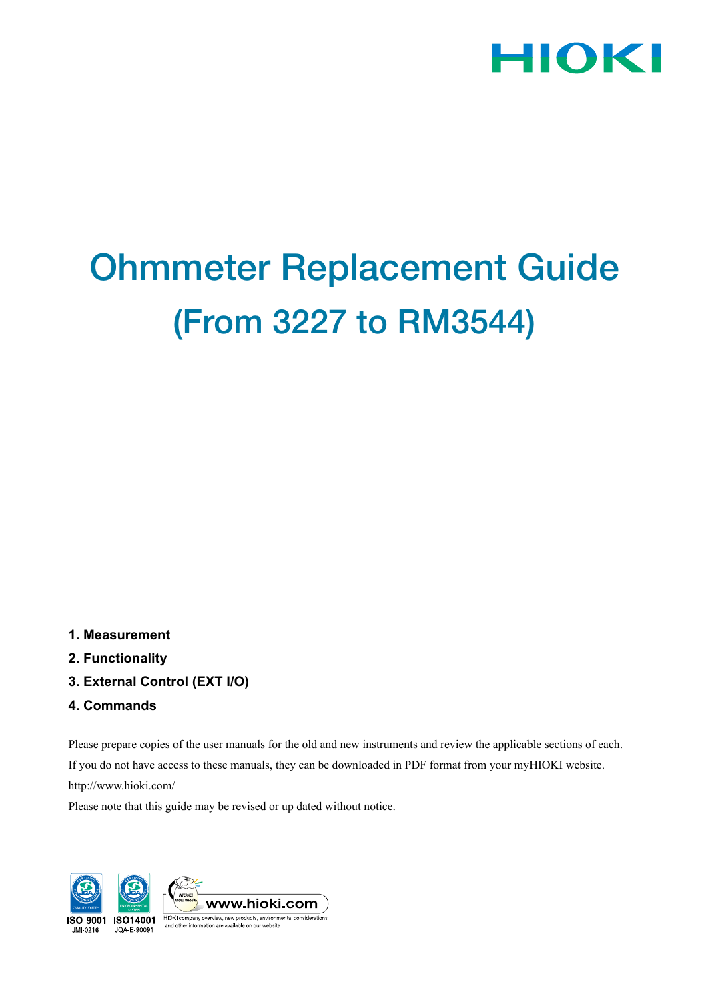

# **Ohmmeter Replacement Guide** (From 3227 to RM 3544)

- **Measurement 1.**
- **Functionality 2.**
- **3. External Control (EXT I/O)**
- **Commands 4.**

Please prepare copies of the user manuals for the old and new instruments and review the applicable sections of each. If you do not have access to these manuals, they can be downloaded in PDF format from your myHIOKI website. http://www.hioki.com/

Please note that this guide may be revised or up dated without notice.

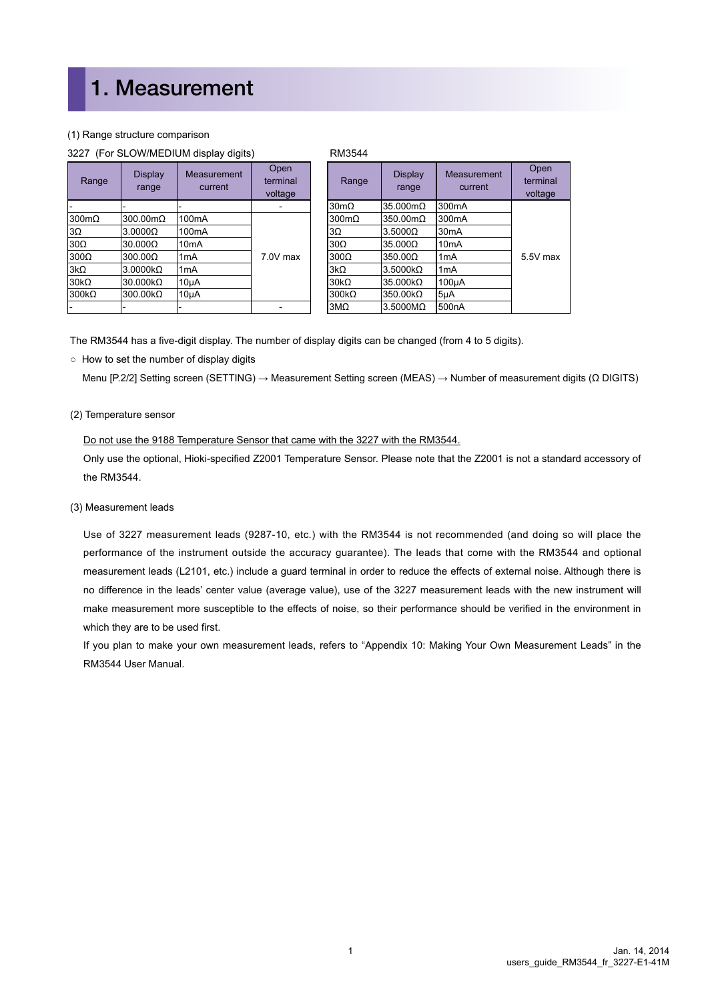## 1. Measurement

#### (1) Range structure comparison

#### 3227 (For SLOW/MEDIUM display digits) RM3544

#### **Display**  Range range Measurement current Open terminal voltage - - - |- - | - | - | |30mΩ |35.000mΩ |300mA  $300 \text{mA}$  300.00m $\Omega$  100mA  $7.0V$  max 3Ω |100mA | |3Ω |3.5000Ω |30mA 30Ω |30.000Ω |10mA | | |30Ω |35.000Ω |10mA 300Ω | 300.00Ω | 1mA | 7.0V max | |300.0 |350.00Ω |1mA 3kΩ |3.0000kΩ |1mA | | |3kΩ |3.5000kΩ |1mA 30kΩ |30.000kΩ |10µA | | |30kΩ |35.000kΩ |100µA 300kΩ |300.00kΩ |10µA | | | |300kΩ |350.00kΩ |5µA nA500 MΩ3.5000 MΩ3 - - - -

| Range                | <b>Display</b><br>range | Measurement<br>current | Open<br>terminal<br>voltage |
|----------------------|-------------------------|------------------------|-----------------------------|
| $30m\Omega$          | 35.000mΩ                | 300 <sub>m</sub> A     |                             |
| $300 \text{m}\Omega$ | $350.00 \text{m}\Omega$ | 300 <sub>m</sub> A     |                             |
| $3\Omega$            | $3.5000\Omega$          | 30 <sub>m</sub> A      |                             |
| 30 <sub>Ω</sub>      | $35.000\Omega$          | 10mA                   |                             |
| $300\Omega$          | 350.00Ω                 | 1mA                    | 5.5V max                    |
| $3k\Omega$           | $3.5000k\Omega$         | 1 <sub>m</sub> A       |                             |
| $30k\Omega$          | 35.000kΩ                | $100\mu A$             |                             |
| $300k\Omega$         | $350.00k\Omega$         | 5 <sub>µ</sub> A       |                             |
| 3M <sub>Ω</sub>      | $3.5000M\Omega$         | 500 <sub>n</sub> A     |                             |

The RM3544 has a five-digit display. The number of display digits can be changed (from 4 to 5 digits).

### ○ How to set the number of display digits

Menu [P.2/2] Setting screen (SETTING)  $\rightarrow$  Measurement Setting screen (MEAS)  $\rightarrow$  Number of measurement digits ( $\Omega$  DIGITS)

#### (2) Temperature sensor

#### Do not use the 9188 Temperature Sensor that came with the 3227 with the RM3544.

Only use the optional, Hioki-specified Z2001 Temperature Sensor. Please note that the Z2001 is not a standard accessory of the RM3544.

### (3) Measurement leads

Use of 3227 measurement leads (9287-10, etc.) with the RM3544 is not recommended (and doing so will place the performance of the instrument outside the accuracy guarantee). The leads that come with the RM3544 and optional measurement leads (L2101, etc.) include a guard terminal in order to reduce the effects of external noise. Although there is no difference in the leads' center value (average value), use of the 3227 measurement leads with the new instrument will make measurement more susceptible to the effects of noise, so their performance should be verified in the environment in which they are to be used first.

If you plan to make your own measurement leads, refers to "Appendix 10: Making Your Own Measurement Leads" in the RM3544 User Manual.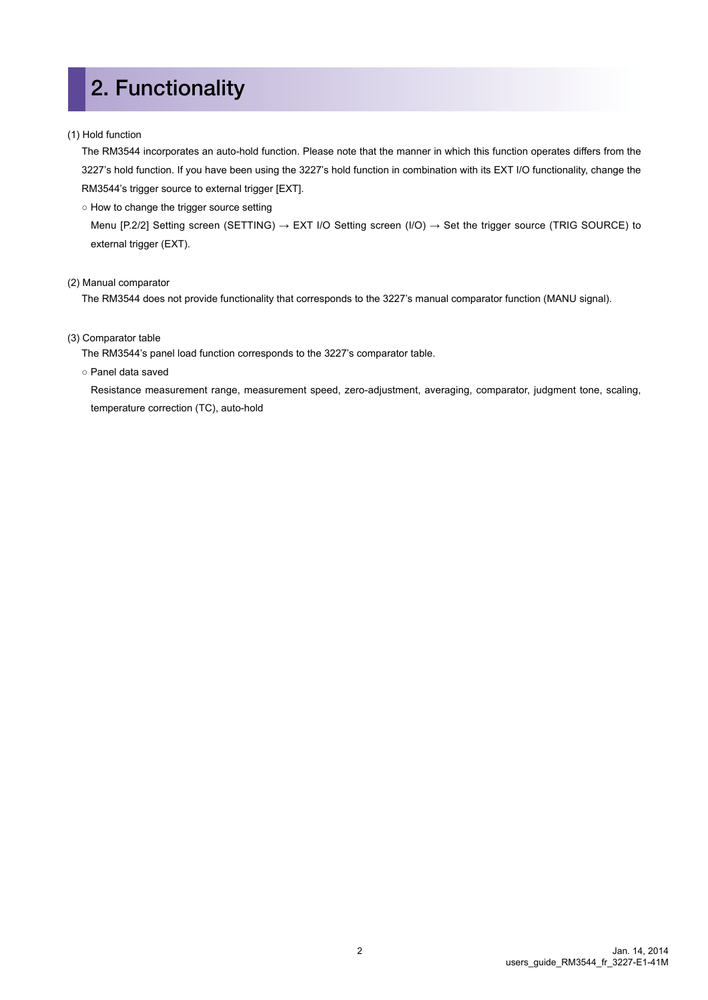## 2. Functionality

#### (1) Hold function

The RM3544 incorporates an auto-hold function. Please note that the manner in which this function operates differs from the 3227's hold function. If you have been using the 3227's hold function in combination with its EXT I/O functionality, change the RM3544's trigger source to external trigger [EXT].

o How to change the trigger source setting

Menu [P.2/2] Setting screen (SETTING)  $\rightarrow$  EXT I/O Setting screen (I/O)  $\rightarrow$  Set the trigger source (TRIG SOURCE) to external trigger (EXT).

#### (2) Manual comparator

The RM3544 does not provide functionality that corresponds to the 3227's manual comparator function (MANU signal).

### (3) Comparator table

The RM3544's panel load function corresponds to the 3227's comparator table.

○ Panel data saved

Resistance measurement range, measurement speed, zero-adjustment, averaging, comparator, judgment tone, scaling, temperature correction (TC), auto-hold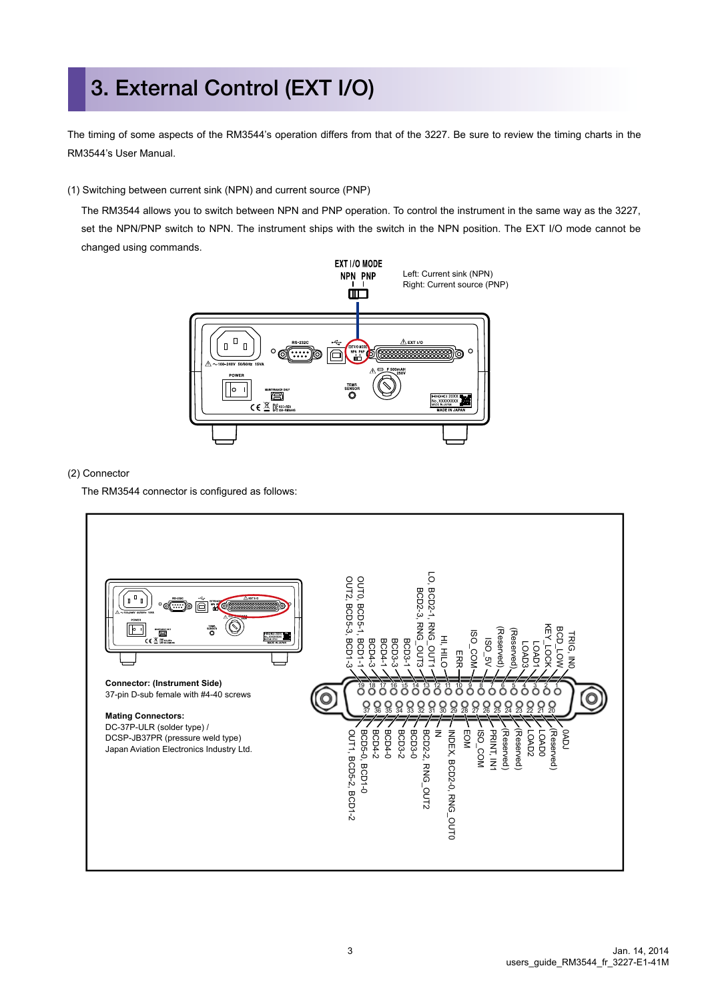## 3. External Control (EXT I/O)

The timing of some aspects of the RM3544's operation differs from that of the 3227. Be sure to review the timing charts in the RM3544's User Manual.

(1) Switching between current sink (NPN) and current source (PNP)

The RM3544 allows you to switch between NPN and PNP operation. To control the instrument in the same way as the 3227, set the NPN/PNP switch to NPN. The instrument ships with the switch in the NPN position. The EXT I/O mode cannot be changed using commands.



### (2) Connector

The RM3544 connector is configured as follows:

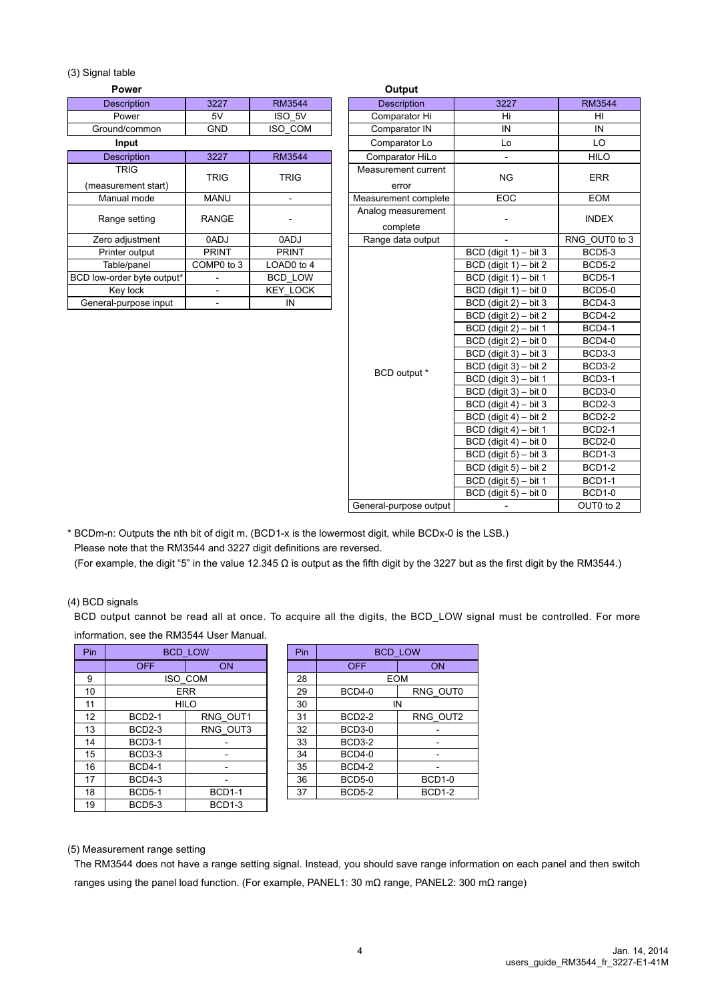#### $(3)$  Signal table

| Power                      |              |                 | Output            |
|----------------------------|--------------|-----------------|-------------------|
| <b>Description</b>         | 3227         | <b>RM3544</b>   | <b>Descriptio</b> |
| Power                      | 5V           | ISO 5V          | Comparato         |
| Ground/common              | <b>GND</b>   | ISO_COM         | Comparato         |
| Input                      |              |                 | Comparator        |
| <b>Description</b>         | 3227         | <b>RM3544</b>   | Comparator        |
| TRIG                       |              |                 | Measurement       |
| (measurement start)        | <b>TRIG</b>  | TRIG            | error             |
| Manual mode                | <b>MANU</b>  |                 | Measurement c     |
|                            |              |                 | Analog measu      |
| Range setting              | <b>RANGE</b> |                 | complete          |
| Zero adjustment            | 0ADJ         | 0ADJ            | Range data c      |
| Printer output             | <b>PRINT</b> | <b>PRINT</b>    |                   |
| Table/panel                | COMP0 to 3   | LOAD0 to 4      |                   |
| BCD low-order byte output* |              | <b>BCD LOW</b>  |                   |
| Key lock                   |              | <b>KEY LOCK</b> |                   |
| General-purpose input      |              | IN              |                   |

| Power                      |                                                   |                          | <b>Output</b>           |                            |               |
|----------------------------|---------------------------------------------------|--------------------------|-------------------------|----------------------------|---------------|
| <b>Description</b>         | 3227                                              | <b>RM3544</b>            | <b>Description</b>      | 3227                       | <b>RM3544</b> |
| Power                      | 5V                                                | ISO 5V                   | Comparator Hi           | Hi                         | HI            |
| Ground/common              | <b>GND</b>                                        | ISO COM                  | Comparator IN           | IN                         | IN            |
| Input                      |                                                   |                          | Comparator Lo           | Lo                         | LO            |
| <b>Description</b>         | 3227                                              | <b>RM3544</b>            | Comparator HiLo         |                            | <b>HILO</b>   |
| <b>TRIG</b>                |                                                   |                          | Measurement current     |                            |               |
| (measurement start)        | <b>TRIG</b>                                       | <b>TRIG</b>              | error                   | <b>NG</b>                  | <b>ERR</b>    |
| Manual mode                | <b>MANU</b>                                       | $\overline{\phantom{a}}$ | Measurement complete    | EOC                        | <b>EOM</b>    |
|                            |                                                   |                          | Analog measurement      |                            |               |
| Range setting              | <b>RANGE</b>                                      |                          | complete                |                            | <b>INDEX</b>  |
| Zero adjustment            | 0ADJ                                              | 0ADJ                     | Range data output       |                            | RNG OUT0 to 3 |
| Printer output             | PRINT                                             | <b>PRINT</b>             |                         | $BCD$ (digit 1) – bit 3    | <b>BCD5-3</b> |
| Table/panel                | COMP0 to 3                                        | LOAD0 to 4               |                         | $BCD$ (digit 1) – bit 2    | <b>BCD5-2</b> |
| BCD low-order byte output* |                                                   | <b>BCD LOW</b>           |                         | $BCD$ (digit 1) – bit 1    | <b>BCD5-1</b> |
| Key lock                   | <b>KEY LOCK</b><br>IN<br>$\overline{\phantom{a}}$ |                          |                         | $BCD$ (digit $1$ ) – bit 0 | <b>BCD5-0</b> |
| General-purpose input      |                                                   |                          | $BCD$ (digit 2) – bit 3 | <b>BCD4-3</b>              |               |
|                            |                                                   |                          |                         | $BCD$ (digit 2) – bit 2    | <b>BCD4-2</b> |
|                            |                                                   |                          |                         | $BCD$ (digit 2) – bit 1    | <b>BCD4-1</b> |
|                            |                                                   |                          |                         | $BCD$ (digit $2$ ) – bit 0 | <b>BCD4-0</b> |
|                            |                                                   |                          |                         | $BCD$ (digit 3) – bit 3    | BCD3-3        |
|                            |                                                   |                          | BCD output *            | $BCD$ (digit 3) – bit 2    | <b>BCD3-2</b> |
|                            |                                                   |                          |                         | $BCD$ (digit $3$ ) – bit 1 | <b>BCD3-1</b> |
|                            |                                                   |                          |                         | $BCD$ (digit 3) – bit 0    | <b>BCD3-0</b> |
|                            |                                                   |                          |                         | $BCD$ (digit 4) – bit 3    | <b>BCD2-3</b> |
|                            |                                                   |                          |                         | $BCD$ (digit 4) – bit 2    | <b>BCD2-2</b> |
|                            |                                                   |                          |                         | $BCD$ (digit 4) – bit 1    | <b>BCD2-1</b> |
|                            |                                                   |                          |                         | $BCD$ (digit 4) – bit 0    | BCD2-0        |
|                            |                                                   |                          |                         | $BCD$ (digit $5$ ) – bit 3 | BCD1-3        |
|                            |                                                   |                          |                         | $BCD$ (digit 5) – bit 2    | <b>BCD1-2</b> |
|                            |                                                   |                          |                         | $BCD$ (digit $5$ ) – bit 1 | <b>BCD1-1</b> |
|                            |                                                   |                          |                         | $BCD$ (digit $5$ ) – bit 0 | <b>BCD1-0</b> |
|                            |                                                   |                          | General-purpose output  | $\overline{\phantom{a}}$   | OUT0 to 2     |

\* BCDm-n: Outputs the nth bit of digit m. (BCD1-x is the lowermost digit, while BCDx-0 is the LSB.) Please note that the RM3544 and 3227 digit definitions are reversed.

(For example, the digit "5" in the value 12.345  $\Omega$  is output as the fifth digit by the 3227 but as the first digit by the RM3544.)

### $(4)$  BCD signals

BCD output cannot be read all at once. To acquire all the digits, the BCD\_LOW signal must be controlled. For more

| information, see the RM3544 User Manual. |                |                |  |     |                |               |
|------------------------------------------|----------------|----------------|--|-----|----------------|---------------|
| Pin                                      | <b>BCD LOW</b> |                |  | Pin | <b>BCD LOW</b> |               |
|                                          | <b>OFF</b>     | <b>ON</b>      |  |     | <b>OFF</b>     | <b>ON</b>     |
| 9                                        |                | <b>ISO COM</b> |  | 28  | <b>EOM</b>     |               |
| 10                                       | <b>ERR</b>     |                |  | 29  | <b>BCD4-0</b>  | RNG OUT0      |
| 11                                       | <b>HILO</b>    |                |  | 30  | IN             |               |
| 12                                       | <b>BCD2-1</b>  | RNG_OUT1       |  | 31  | <b>BCD2-2</b>  | RNG OUT2      |
| 13                                       | <b>BCD2-3</b>  | RNG OUT3       |  | 32  | BCD3-0         |               |
| 14                                       | <b>BCD3-1</b>  |                |  | 33  | BCD3-2         |               |
| 15                                       | BCD3-3         |                |  | 34  | <b>BCD4-0</b>  |               |
| 16                                       | <b>BCD4-1</b>  |                |  | 35  | <b>BCD4-2</b>  |               |
| 17                                       | <b>BCD4-3</b>  |                |  | 36  | <b>BCD5-0</b>  | <b>BCD1-0</b> |
| 18                                       | <b>BCD5-1</b>  | <b>BCD1-1</b>  |  | 37  | <b>BCD5-2</b>  | <b>BCD1-2</b> |
| 19                                       | <b>BCD5-3</b>  | <b>BCD1-3</b>  |  |     |                |               |

| <b>BCD LOW</b> |                       | Pin |               | <b>BCD LOW</b> |
|----------------|-----------------------|-----|---------------|----------------|
| <b>OFF</b>     | <b>ON</b>             |     | <b>OFF</b>    | <b>ON</b>      |
|                | <b>ISO COM</b>        | 28  | <b>EOM</b>    |                |
|                | <b>ERR</b>            | 29  | <b>BCD4-0</b> | RNG OUT0       |
|                | <b>HILO</b>           | 30  | IN            |                |
| CD2-1          | RNG OUT1              | 31  | <b>BCD2-2</b> | RNG OUT2       |
| CD2-3          | RNG OUT3              | 32  | <b>BCD3-0</b> |                |
| CD3-1          |                       | 33  | BCD3-2        |                |
| CD3-3          |                       | 34  | <b>BCD4-0</b> |                |
| CD4-1          |                       | 35  | <b>BCD4-2</b> |                |
| CD4-3          |                       | 36  | <b>BCD5-0</b> | <b>BCD1-0</b>  |
| CD5-1          | <b>BCD1-1</b>         | 37  | <b>BCD5-2</b> | <b>BCD1-2</b>  |
| $\sim$         | $n \cap n \in \Omega$ |     |               |                |

### (5) Measurement range setting

The RM3544 does not have a range setting signal. Instead, you should save range information on each panel and then switch ranges using the panel load function. (For example, PANEL1: 30 mΩ range, PANEL2: 300 mΩ range)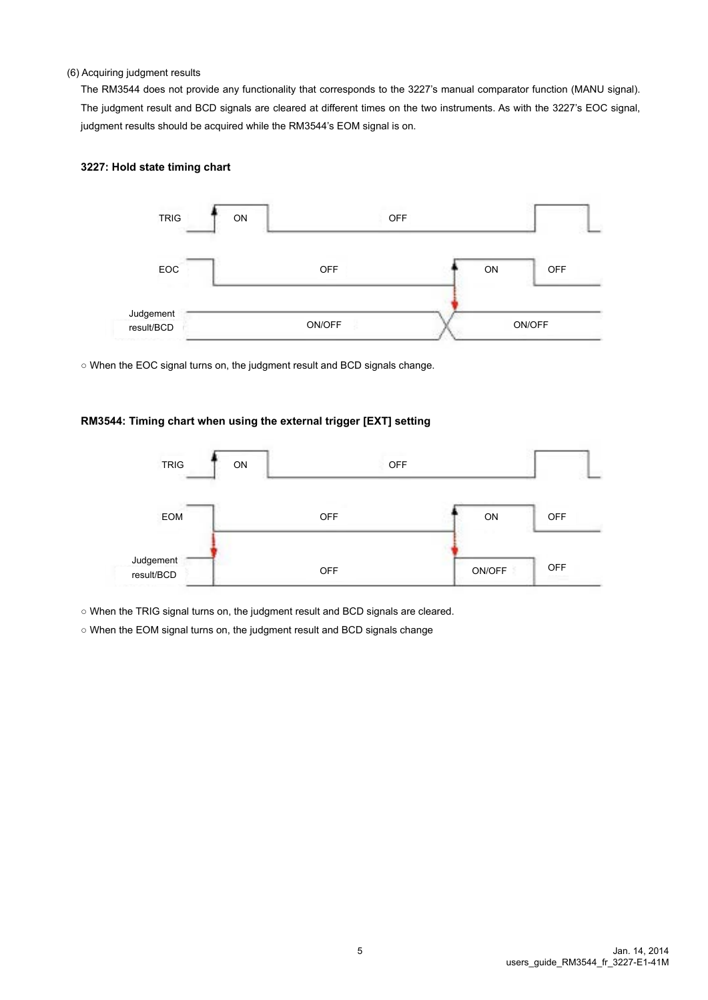#### (6) Acquiring judgment results

The RM3544 does not provide any functionality that corresponds to the 3227's manual comparator function (MANU signal). The judgment result and BCD signals are cleared at different times on the two instruments. As with the 3227's EOC signal, judgment results should be acquired while the RM3544's EOM signal is on.

### **3227: Hold state timing chart**



o When the EOC signal turns on, the judgment result and BCD signals change.

### RM3544: Timing chart when using the external trigger [EXT] setting



o When the TRIG signal turns on, the judgment result and BCD signals are cleared.

⊙ When the EOM signal turns on, the judgment result and BCD signals change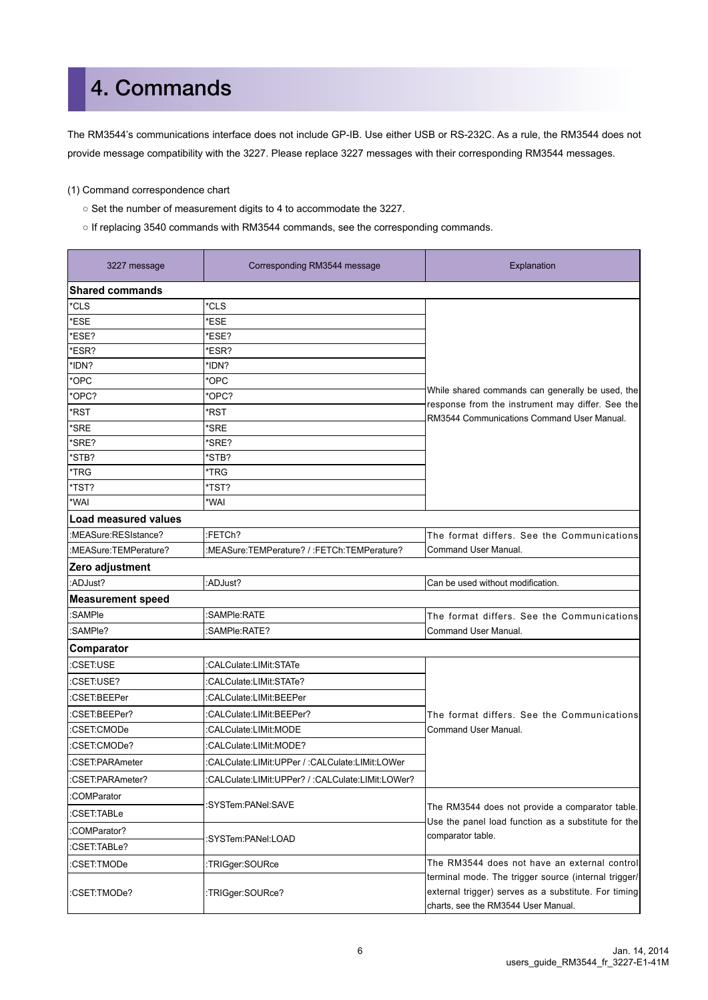## 4. Commands

The RM3544's communications interface does not include GP-IB. Use either USB or RS-232C. As a rule, the RM3544 does not provide message compatibility with the 3227. Please replace 3227 messages with their corresponding RM3544 messages.

#### (1) Command correspondence chart

- o Set the number of measurement digits to 4 to accommodate the 3227.
- o If replacing 3540 commands with RM3544 commands, see the corresponding commands.

| 3227 message             | Corresponding RM3544 message                      | Explanation                                                                                                                                         |  |  |
|--------------------------|---------------------------------------------------|-----------------------------------------------------------------------------------------------------------------------------------------------------|--|--|
| <b>Shared commands</b>   |                                                   |                                                                                                                                                     |  |  |
| *CLS                     | *CLS                                              |                                                                                                                                                     |  |  |
| *ESE                     | <b>ESE</b>                                        |                                                                                                                                                     |  |  |
| *ESE?                    | 'ESE?                                             |                                                                                                                                                     |  |  |
| *ESR?                    | 'ESR?                                             |                                                                                                                                                     |  |  |
| *IDN?                    | 'IDN?                                             |                                                                                                                                                     |  |  |
| *OPC                     | <b>OPC</b>                                        |                                                                                                                                                     |  |  |
| *OPC?                    | OPC? <sup>*</sup>                                 | While shared commands can generally be used, the<br>response from the instrument may differ. See the                                                |  |  |
| *RST                     | *RST                                              | RM3544 Communications Command User Manual.                                                                                                          |  |  |
| *SRE                     | 'SRE                                              |                                                                                                                                                     |  |  |
| *SRE?                    | 'SRE?                                             |                                                                                                                                                     |  |  |
| *STB?                    | 'STB?                                             |                                                                                                                                                     |  |  |
| *TRG                     | 'TRG                                              |                                                                                                                                                     |  |  |
| *TST?                    | *TST?                                             |                                                                                                                                                     |  |  |
| *WAI                     | *WAI                                              |                                                                                                                                                     |  |  |
| Load measured values     |                                                   |                                                                                                                                                     |  |  |
| :MEASure:RESIstance?     | :FETCh?                                           | The format differs. See the Communications                                                                                                          |  |  |
| :MEASure:TEMPerature?    | :MEASure:TEMPerature? / :FETCh:TEMPerature?       | Command User Manual.                                                                                                                                |  |  |
| Zero adjustment          |                                                   |                                                                                                                                                     |  |  |
| :ADJust?                 | :ADJust?                                          | Can be used without modification.                                                                                                                   |  |  |
| <b>Measurement speed</b> |                                                   |                                                                                                                                                     |  |  |
| :SAMPle                  | :SAMPle:RATE                                      | The format differs. See the Communications                                                                                                          |  |  |
| :SAMPle?                 | :SAMPle:RATE?                                     | Command User Manual.                                                                                                                                |  |  |
| <b>Comparator</b>        |                                                   |                                                                                                                                                     |  |  |
| :CSET:USE                | :CALCulate:LIMit:STATe                            |                                                                                                                                                     |  |  |
| :CSET:USE?               | :CALCulate:LIMit:STATe?                           |                                                                                                                                                     |  |  |
| :CSET:BEEPer             | :CALCulate:LIMit:BEEPer                           |                                                                                                                                                     |  |  |
| :CSET:BEEPer?            | CALCulate:LIMit:BEEPer?                           | The format differs. See the Communications                                                                                                          |  |  |
| :CSET:CMODe              | CALCulate:LIMit:MODE                              | Command User Manual.                                                                                                                                |  |  |
| :CSET:CMODe?             | :CALCulate:LIMit:MODE?                            |                                                                                                                                                     |  |  |
| :CSET:PARAmeter          | :CALCulate:LIMit:UPPer / :CALCulate:LIMit:LOWer   |                                                                                                                                                     |  |  |
| :CSET:PARAmeter?         | :CALCulate:LIMit:UPPer? / :CALCulate:LIMit:LOWer? |                                                                                                                                                     |  |  |
| :COMParator              |                                                   |                                                                                                                                                     |  |  |
| :CSET:TABLe              | SYSTem:PANel:SAVE                                 | The RM3544 does not provide a comparator table.                                                                                                     |  |  |
| :COMParator?             |                                                   | Use the panel load function as a substitute for the                                                                                                 |  |  |
| :CSET:TABLe?             | SYSTem:PANel:LOAD                                 | comparator table.                                                                                                                                   |  |  |
| :CSET:TMODe              | :TRIGger:SOURce                                   | The RM3544 does not have an external control                                                                                                        |  |  |
| :CSET:TMODe?             | :TRIGger:SOURce?                                  | terminal mode. The trigger source (internal trigger/<br>external trigger) serves as a substitute. For timing<br>charts, see the RM3544 User Manual. |  |  |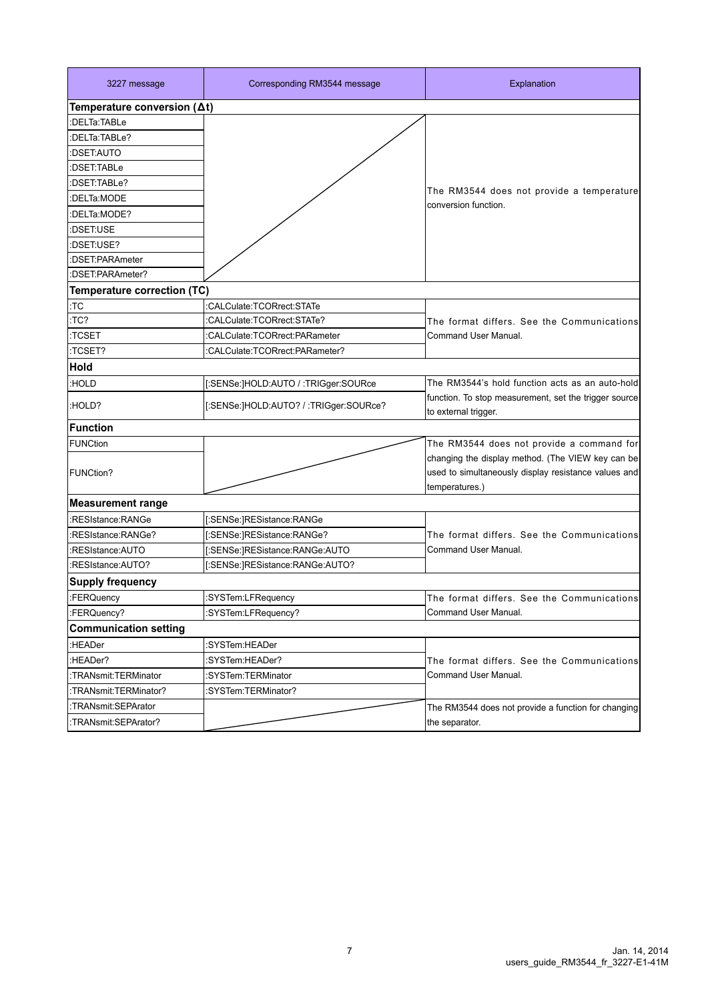| 3227 message                        | Corresponding RM3544 message           | Explanation                                                        |  |
|-------------------------------------|----------------------------------------|--------------------------------------------------------------------|--|
| Temperature conversion $(\Delta t)$ |                                        |                                                                    |  |
| :DELTa:TABLe                        |                                        |                                                                    |  |
| :DELTa:TABLe?                       |                                        |                                                                    |  |
| :DSET:AUTO                          |                                        |                                                                    |  |
| :DSET:TABLe                         |                                        |                                                                    |  |
| :DSET:TABLe?                        |                                        |                                                                    |  |
| :DELTa:MODE                         |                                        | The RM3544 does not provide a temperature<br>conversion function.  |  |
| :DELTa:MODE?                        |                                        |                                                                    |  |
| :DSET:USE                           |                                        |                                                                    |  |
| :DSET:USE?                          |                                        |                                                                    |  |
| :DSET:PARAmeter                     |                                        |                                                                    |  |
| :DSET:PARAmeter?                    |                                        |                                                                    |  |
| <b>Temperature correction (TC)</b>  |                                        |                                                                    |  |
| :TC                                 | :CALCulate:TCORrect:STATe              |                                                                    |  |
| :TC?                                | :CALCulate:TCORrect:STATe?             | The format differs. See the Communications                         |  |
| :TCSET                              | :CALCulate:TCORrect:PARameter          | Command User Manual.                                               |  |
| :TCSET?                             | :CALCulate:TCORrect:PARameter?         |                                                                    |  |
| Hold                                |                                        |                                                                    |  |
| :HOLD                               | [:SENSe:]HOLD:AUTO / :TRIGger:SOURce   | The RM3544's hold function acts as an auto-hold                    |  |
| :HOLD?                              | [:SENSe:]HOLD:AUTO? / :TRIGger:SOURce? | function. To stop measurement, set the trigger source              |  |
|                                     |                                        | to external trigger.                                               |  |
| <b>Function</b>                     |                                        |                                                                    |  |
| <b>FUNCtion</b>                     |                                        | The RM3544 does not provide a command for                          |  |
|                                     |                                        | changing the display method. (The VIEW key can be                  |  |
| <b>FUNCtion?</b>                    |                                        | used to simultaneously display resistance values and               |  |
|                                     |                                        | temperatures.)                                                     |  |
| <b>Measurement range</b>            |                                        |                                                                    |  |
| :RESIstance:RANGe                   | [:SENSe:]RESistance:RANGe              |                                                                    |  |
| :RESIstance:RANGe?                  | [:SENSe:]RESistance:RANGe?             | The format differs. See the Communications                         |  |
| :RESIstance:AUTO                    | [:SENSe:]RESistance:RANGe:AUTO         | Command User Manual.                                               |  |
| :RESIstance:AUTO?                   | [:SENSe:]RESistance:RANGe:AUTO?        |                                                                    |  |
| <b>Supply frequency</b>             |                                        |                                                                    |  |
| :FERQuency                          | :SYSTem:LFRequency                     | The format differs. See the Communications                         |  |
| :FERQuency?                         | :SYSTem:LFRequency?                    | Command User Manual.                                               |  |
| <b>Communication setting</b>        |                                        |                                                                    |  |
| :HEADer                             | :SYSTem:HEADer                         |                                                                    |  |
| :HEADer?                            | :SYSTem:HEADer?                        | The format differs. See the Communications<br>Command User Manual. |  |
| :TRANsmit:TERMinator                | :SYSTem:TERMinator                     |                                                                    |  |
| :TRANsmit:TERMinator?               | SYSTem:TERMinator?                     |                                                                    |  |
| :TRANsmit:SEPArator                 |                                        | The RM3544 does not provide a function for changing                |  |
| :TRANsmit:SEPArator?                |                                        | the separator.                                                     |  |